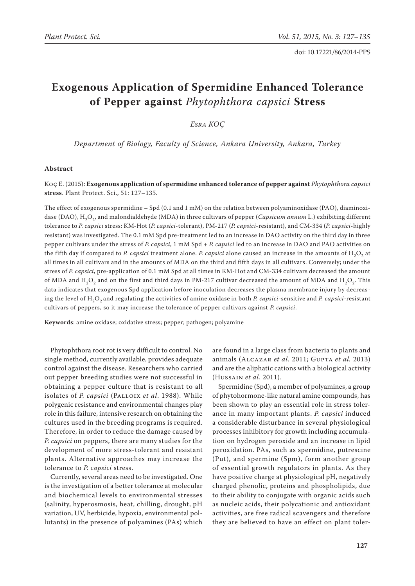# **Exogenous Application of Spermidine Enhanced Tolerance of Pepper against** *Phytophthora capsici* **Stress**

*Esra KOÇ*

*Department of Biology, Faculty of Science, Ankara University, Ankara, Turkey*

#### **Abstract**

Koç E. (2015): **Exogenous application of spermidine enhanced tolerance of pepper against** *Phytophthora capsici* **stress**. Plant Protect. Sci., 51: 127–135.

The effect of exogenous spermidine – Spd (0.1 and 1 mM) on the relation between polyaminoxidase (PAO), diaminoxidase (DAO), H<sub>2</sub>O<sub>2</sub>, and malondialdehyde (MDA) in three cultivars of pepper (*Capsicum annum L.*) exhibiting different tolerance to *P. capsici* stress: KM-Hot (*P. capsici-*tolerant), PM-217 (*P. capsici*-resistant), and CM-334 (*P. capsici*-highly resistant) was investigated. The 0.1 mM Spd pre-treatment led to an increase in DAO activity on the third day in three pepper cultivars under the stress of *P. capsici*, 1 mM Spd + *P. capsici* led to an increase in DAO and PAO activities on the fifth day if compared to *P. capsici* treatment alone. *P. capsici* alone caused an increase in the amounts of H<sub>2</sub>O<sub>2</sub> at all times in all cultivars and in the amounts of MDA on the third and fifth days in all cultivars. Conversely; under the stress of *P. capsici*, pre-application of 0.1 mM Spd at all times in KM-Hot and CM-334 cultivars decreased the amount of MDA and H<sub>2</sub>O<sub>2</sub> and on the first and third days in PM-217 cultivar decreased the amount of MDA and H<sub>2</sub>O<sub>2</sub>. This data indicates that exogenous Spd application before inoculation decreases the plasma membrane injury by decreasing the level of H<sub>2</sub>O<sub>2</sub> and regulating the activities of amine oxidase in both *P. capsici*-sensitive and *P. capsici*-resistant cultivars of peppers, so it may increase the tolerance of pepper cultivars against *P. capsici*.

**Keywords**: amine oxidase; oxidative stress; pepper; pathogen; polyamine

Phytophthora root rot is very difficult to control. No single method, currently available, provides adequate control against the disease. Researchers who carried out pepper breeding studies were not successful in obtaining a pepper culture that is resistant to all isolates of *P. capsici* (PALLOIX *et al.* 1988). While polygenic resistance and environmental changes play role in this failure, intensive research on obtaining the cultures used in the breeding programs is required. Therefore, in order to reduce the damage caused by *P. capsici* on peppers, there are many studies for the development of more stress-tolerant and resistant plants. Alternative approaches may increase the tolerance to *P. capsici* stress.

Currently, several areas need to be investigated. One is the investigation of a better tolerance at molecular and biochemical levels to environmental stresses (salinity, hyperosmosis, heat, chilling, drought, pH variation, UV, herbicide, hypoxia, environmental pollutants) in the presence of polyamines (PAs) which are found in a large class from bacteria to plants and animals (Alcazar *et al*. 2011; Gupta *et al.* 2013) and are the aliphatic cations with a biological activity (Hussain *et al.* 2011).

Spermidine (Spd), a member of polyamines, a group of phytohormone-like natural amine compounds, has been shown to play an essential role in stress tolerance in many important plants. *P. capsici* induced a considerable disturbance in several physiological processes inhibitory for growth including accumulation on hydrogen peroxide and an increase in lipid peroxidation. PAs, such as spermidine, putrescine (Put), and spermine (Spm), form another group of essential growth regulators in plants. As they have positive charge at physiological pH, negatively charged phenolic, proteins and phospholipids, due to their ability to conjugate with organic acids such as nucleic acids, their polycationic and antioxidant activities, are free radical scavengers and therefore they are believed to have an effect on plant toler-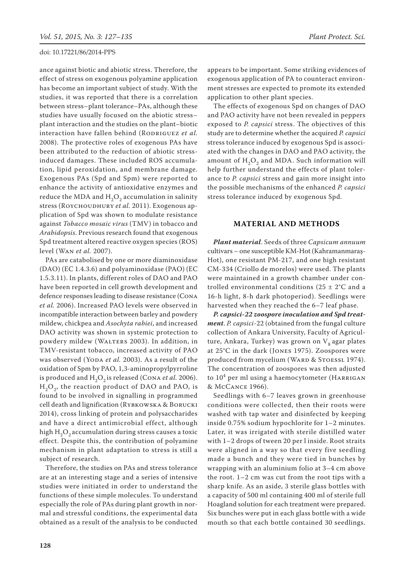ance against biotic and abiotic stress. Therefore, the effect of stress on exogenous polyamine application has become an important subject of study. With the studies, it was reported that there is a correlation between stress–plant tolerance–PAs, although these studies have usually focused on the abiotic stress– plant interaction and the studies on the plant–biotic interaction have fallen behind (RODRIGUEZ et al. 2008). The protective roles of exogenous PAs have been attributed to the reduction of abiotic stressinduced damages. These included ROS accumulation, lipid peroxidation, and membrane damage. Exogenous PAs (Spd and Spm) were reported to enhance the activity of antioxidative enzymes and reduce the MDA and  $H_2O_2$  accumulation in salinity stress (Roychoudhury *et al.* 2011). Exogenous application of Spd was shown to modulate resistance against *Tobacco mosaic virus* (TMV) in tobacco and *Arabidopsis*. Previous research found that exogenous Spd treatment altered reactive oxygen species (ROS) level (Wan *et al.* 2007).

PAs are catabolised by one or more diaminoxidase (DAO) (EC 1.4.3.6) and polyaminoxidase (PAO) (EC 1.5.3.11). In plants, different roles of DAO and PAO have been reported in cell growth development and defence responses leading to disease resistance (Cona *et al.* 2006). Increased PAO levels were observed in incompatible interaction between barley and powdery mildew, chickpea and *Asochyta rabiei*, and increased DAO activity was shown in systemic protection to powdery mildew (WALTERS 2003). In addition, in TMV-resistant tobacco, increased activity of PAO was observed (YODA *et al.* 2003). As a result of the oxidation of Spm by PAO, 1,3-aminopropylpyrroline is produced and H<sub>2</sub>O<sub>2</sub> is released (CONA *et al.* 2006).  $H<sub>2</sub>O<sub>2</sub>$ , the reaction product of DAO and PAO, is found to be involved in signalling in programmed cell death and lignification (Rybkowska & Borucki 2014), cross linking of protein and polysaccharides and have a direct antimicrobial effect, although high  $H_2O_2$  accumulation during stress causes a toxic effect. Despite this, the contribution of polyamine mechanism in plant adaptation to stress is still a subject of research.

Therefore, the studies on PAs and stress tolerance are at an interesting stage and a series of intensive studies were initiated in order to understand the functions of these simple molecules. To understand especially the role of PAs during plant growth in normal and stressful conditions, the experimental data obtained as a result of the analysis to be conducted appears to be important. Some striking evidences of exogenous application of PA to counteract environment stresses are expected to promote its extended application to other plant species.

The effects of exogenous Spd on changes of DAO and PAO activity have not been revealed in peppers exposed to *P. capsici* stress. The objectives of this study are to determine whether the acquired *P. capsici* stress tolerance induced by exogenous Spd is associated with the changes in DAO and PAO activity, the amount of  $H_2O_2$  and MDA. Such information will help further understand the effects of plant tolerance to *P. capsici* stress and gain more insight into the possible mechanisms of the enhanced *P. capsici* stress tolerance induced by exogenous Spd.

## **MATERIAL AND METHODS**

*Plant material*. Seeds of three *Capsicum annuum*  cultivars – one susceptible KM-Hot (Kahramanmaraş-Hot), one resistant PM-217, and one high resistant CM-334 (Criollo de morelos) were used. The plants were maintained in a growth chamber under controlled environmental conditions ( $25 \pm 2$ °C and a 16-h light, 8-h dark photoperiod). Seedlings were harvested when they reached the 6–7 leaf phase.

*P. capsici***-***22 zoospore inoculation and Spd treatment*. *P. capsici*-22 (obtained from the fungal culture collection of Ankara University, Faculty of Agriculture, Ankara, Turkey) was grown on  $V<sub>8</sub>$  agar plates at 25°C in the dark (Jones 1975). Zoospores were produced from mycelium (WARD & STOESSL 1974). The concentration of zoospores was then adjusted to 10<sup>4</sup> per ml using a haemocytometer (HARRIGAN & McCance 1966).

Seedlings with 6–7 leaves grown in greenhouse conditions were collected, then their roots were washed with tap water and disinfected by keeping inside 0.75% sodium hypochlorite for 1–2 minutes. Later, it was irrigated with sterile distilled water with 1–2 drops of tween 20 per l inside. Root straits were aligned in a way so that every five seedling made a bunch and they were tied in bunches by wrapping with an aluminium folio at 3–4 cm above the root. 1–2 cm was cut from the root tips with a sharp knife. As an aside, 3 sterile glass bottles with a capacity of 500 ml containing 400 ml of sterile full Hoagland solution for each treatment were prepared. Six bunches were put in each glass bottle with a wide mouth so that each bottle contained 30 seedlings.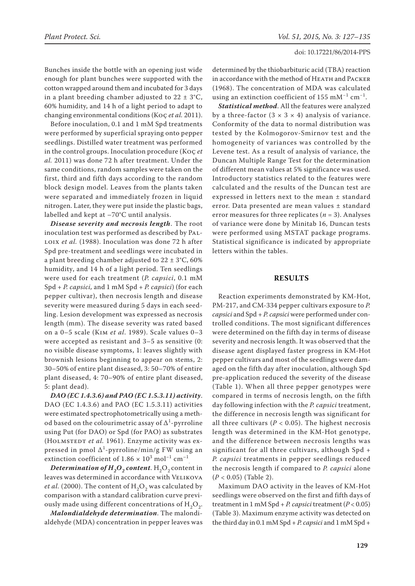Bunches inside the bottle with an opening just wide enough for plant bunches were supported with the cotton wrapped around them and incubated for 3 days in a plant breeding chamber adjusted to  $22 \pm 3$ °C, 60% humidity, and 14 h of a light period to adapt to changing environmental conditions (Koç *et al.* 2011).

Before inoculation, 0.1 and 1 mM Spd treatments were performed by superficial spraying onto pepper seedlings. Distilled water treatment was performed in the control groups. Inoculation procedure (Koç *et al.* 2011) was done 72 h after treatment. Under the same conditions, random samples were taken on the first, third and fifth days according to the random block design model. Leaves from the plants taken were separated and immediately frozen in liquid nitrogen. Later, they were put inside the plastic bags, labelled and kept at –70°C until analysis.

*Disease severity and necrosis length*. The root inoculation test was performed as described by Pal-LOIX *et al.* (1988). Inoculation was done 72 h after Spd pre-treatment and seedlings were incubated in a plant breeding chamber adjusted to  $22 \pm 3^{\circ}$ C, 60% humidity, and 14 h of a light period. Ten seedlings were used for each treatment (*P. capsici*, 0.1 mM Spd + *P. capsici,* and 1 mM Spd + *P. capsici*) (for each pepper cultivar), then necrosis length and disease severity were measured during 5 days in each seedling. Lesion development was expressed as necrosis length (mm). The disease severity was rated based on a 0–5 scale (Kim *et al*. 1989). Scale values 0–3 were accepted as resistant and 3–5 as sensitive (0: no visible disease symptoms, 1: leaves slightly with brownish lesions beginning to appear on stems, 2: 30–50% of entire plant diseased, 3: 50–70% of entire plant diseased, 4: 70–90% of entire plant diseased, 5: plant dead).

*DAO (EC 1.4.3.6) and PAO (EC 1.5.3.11) activity*. DAO (EC 1.4.3.6) and PAO (EC 1.5.3.11) activities were estimated spectrophotometrically using a method based on the colourimetric assay of  $\Delta^1$ -pyrroline using Put (for DAO) or Spd (for PAO) as substrates (HOLMSTEDT et al. 1961). Enzyme activity was expressed in pmol  $\Delta^1$ -pyrroline/min/g FW using an extinction coefficient of  $1.86 \times 10^3$  mol<sup>-1</sup> cm<sup>-1</sup>.

*Determination of H<sub>2</sub>O<sub>2</sub> content*. H<sub>2</sub>O<sub>2</sub> content in leaves was determined in accordance with VELIKOVA *et al.* (2000). The content of  $H_2O_2$  was calculated by comparison with a standard calibration curve previously made using different concentrations of  $H_2O_2$ .

*Malondialdehyde determination*. The malondialdehyde (MDA) concentration in pepper leaves was

determined by the thiobarbituric acid (TBA) reaction in accordance with the method of HEATH and PACKER (1968). The concentration of MDA was calculated using an extinction coefficient of 155 mM<sup>-1</sup> cm<sup>-1</sup>.

*Statistical method*. All the features were analyzed by a three-factor  $(3 \times 3 \times 4)$  analysis of variance. Conformity of the data to normal distribution was tested by the Kolmogorov-Smirnov test and the homogeneity of variances was controlled by the Levene test. As a result of analysis of variance, the Duncan Multiple Range Test for the determination of different mean values at 5% significance was used. Introductory statistics related to the features were calculated and the results of the Duncan test are expressed in letters next to the mean ± standard error. Data presented are mean values ± standard error measures for three replicates (*n* = 3). Analyses of variance were done by Minitab 16, Duncan tests were performed using MSTAT package programs. Statistical significance is indicated by appropriate letters within the tables.

#### **RESULTS**

Reaction experiments demonstrated by KM-Hot, PM-217, and CM-334 pepper cultivars exposure to *P. capsici* and Spd + *P. capsici* were performed under controlled conditions. The most significant differences were determined on the fifth day in terms of disease severity and necrosis length. It was observed that the disease agent displayed faster progress in KM-Hot pepper cultivars and most of the seedlings were damaged on the fifth day after inoculation, although Spd pre-application reduced the severity of the disease (Table 1). When all three pepper genotypes were compared in terms of necrosis length, on the fifth day following infection with the *P. capsici* treatment, the difference in necrosis length was significant for all three cultivars ( $P < 0.05$ ). The highest necrosis length was determined in the KM-Hot genotype, and the difference between necrosis lengths was significant for all three cultivars, although Spd + *P. capsici* treatments in pepper seedlings reduced the necrosis length if compared to *P. capsici* alone (*P* < 0.05) (Table 2).

Maximum DAO activity in the leaves of KM-Hot seedlings were observed on the first and fifth days of treatment in 1 mM Spd + *P. capsici* treatment (*P* < 0.05) (Table 3). Maximum enzyme activity was detected on the third day in 0.1 mM Spd + *P. capsici* and 1 mM Spd +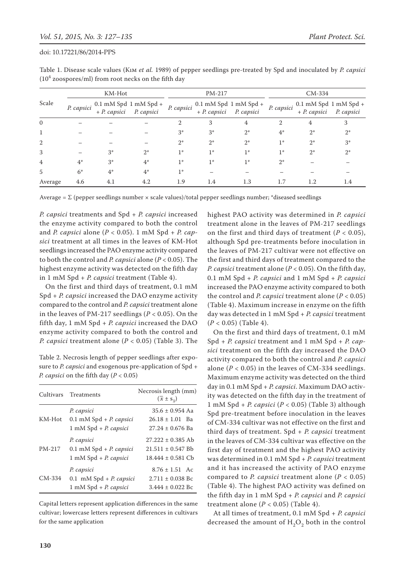| Scale          | KM-Hot |                                                             |       |       | PM-217                  |                                                             | CM-334 |                                                                                        |            |  |
|----------------|--------|-------------------------------------------------------------|-------|-------|-------------------------|-------------------------------------------------------------|--------|----------------------------------------------------------------------------------------|------------|--|
|                |        | P. capsici 0.1 mM Spd 1 mM Spd +<br>+ P. capsici P. capsici |       |       | + P. capsici P. capsici | <i>P. capsici</i> $0.1 \text{ mM Spd } 1 \text{ mM Spd } +$ |        | P. capsici $0.1 \text{ mM Spd } 1 \text{ mM Spd } +$<br>$+ P. \text{ } \text{capsici}$ | P. capsici |  |
| $\mathbf{0}$   |        |                                                             |       | 2     | 3                       | 4                                                           |        | 4                                                                                      | 3          |  |
|                |        |                                                             |       | $3*$  | $3*$                    | $2^*$                                                       | $4*$   | $2^*$                                                                                  | $2^*$      |  |
| $\overline{2}$ |        |                                                             |       | $2^*$ | $2^*$                   | $2^*$                                                       | $1*$   | $2^*$                                                                                  | $3*$       |  |
| 3              |        | $3*$                                                        | $2^*$ | $1*$  | $1*$                    | $1*$                                                        | $1*$   | $2^*$                                                                                  | $2^*$      |  |
| $\overline{4}$ | $4*$   | $3*$                                                        | $4*$  | $1*$  | $1*$                    | $1*$                                                        | $2^*$  |                                                                                        |            |  |
| 5              | $6*$   | $4*$                                                        | $4*$  | $1*$  |                         |                                                             |        |                                                                                        |            |  |
| Average        | 4.6    | 4.1                                                         | 4.2   | 1.9   | 1.4                     | 1.3                                                         | 1.7    | 1.2                                                                                    | 1.4        |  |

Table 1. Disease scale values (Kım *et al.* 1989) of pepper seedlings pre-treated by Spd and inoculated by *P. capsici*  $(10^4 \text{ zoospores/ml})$  from root necks on the fifth day

Average =  $\Sigma$  (pepper seedlings number  $\times$  scale values)/total pepper seedlings number; \*diseased seedlings

*P. capsici* treatments and Spd + *P. capsici* increased the enzyme activity compared to both the control and *P. capsici* alone (*P* < 0.05). 1 mM Spd + *P. capsici* treatment at all times in the leaves of KM-Hot seedlings increased the PAO enzyme activity compared to both the control and *P. capsici* alone (*P* < 0.05). The highest enzyme activity was detected on the fifth day in 1 mM Spd + *P. capsici* treatment (Table 4).

On the first and third days of treatment, 0.1 mM Spd + *P. capsici* increased the DAO enzyme activity compared to the control and *P. capsici* treatment alone in the leaves of PM-217 seedlings (*P* < 0.05). On the fifth day, 1 mM Spd + *P. capsici* increased the DAO enzyme activity compared to both the control and *P. capsici* treatment alone (*P* < 0.05) (Table 3). The

Table 2. Necrosis length of pepper seedlings after exposure to *P. capsici* and exogenous pre-application of Spd + *P. capsici* on the fifth day ( $P < 0.05$ )

| <b>Cultivars</b> | Treatments                                                                                   | Necrosis length (mm)<br>$(\overline{x} \pm s_{\overline{x}})$           |
|------------------|----------------------------------------------------------------------------------------------|-------------------------------------------------------------------------|
| KM-Hot           | P. capsici<br>$0.1$ mM Spd + P. capsici<br>$1 \text{ mM Spd} + P$ . capsici                  | $35.6 \pm 0.954$ Aa<br>$26.18 \pm 1.01$ Ba<br>$27.24 \pm 0.676$ Ba      |
| PM-217           | P. capsici<br>$0.1$ mM Spd + P. capsici<br>$1 \text{ mM Spd} + P$ . capsici                  | $27.222 \pm 0.385$ Ab<br>$21.511 \pm 0.547$ Bb<br>$18.444 \pm 0.581$ Cb |
| $CM-334$         | P. capsici<br>$0.1 \, \text{mM}$ Spd + <i>P. capsici</i><br>$1 \text{ mM Spd} + P$ . capsici | $8.76 \pm 1.51$ Ac<br>$2.711 \pm 0.038$ Bc<br>$3.444 \pm 0.022$ Bc      |

Capital letters represent application differences in the same cultivar; lowercase letters represent differences in cultivars for the same application

highest PAO activity was determined in *P. capsici* treatment alone in the leaves of PM-217 seedlings on the first and third days of treatment  $(P < 0.05)$ , although Spd pre-treatments before inoculation in the leaves of PM-217 cultivar were not effective on the first and third days of treatment compared to the *P. capsici* treatment alone (*P* < 0.05). On the fifth day, 0.1 mM Spd + *P. capsici* and 1 mM Spd + *P. capsici* increased the PAO enzyme activity compared to both the control and *P. capsici* treatment alone (*P* < 0.05) (Table 4). Maximum increase in enzyme on the fifth day was detected in 1 mM Spd + *P. capsici* treatment (*P* < 0.05) (Table 4).

On the first and third days of treatment, 0.1 mM Spd + *P. capsici* treatment and 1 mM Spd + *P. capsici* treatment on the fifth day increased the DAO activity compared to both the control and *P. capsici* alone  $(P < 0.05)$  in the leaves of CM-334 seedlings. Maximum enzyme activity was detected on the third day in 0.1 mM Spd + *P. capsici*. Maximum DAO activity was detected on the fifth day in the treatment of 1 mM Spd + *P. capsici* (*P* < 0.05) (Table 3) although Spd pre-treatment before inoculation in the leaves of CM-334 cultivar was not effective on the first and third days of treatment. Spd + *P. capsici* treatment in the leaves of CM-334 cultivar was effective on the first day of treatment and the highest PAO activity was determined in 0.1 mM Spd + *P. capsici* treatment and it has increased the activity of PAO enzyme compared to *P. capsici* treatment alone  $(P < 0.05)$ (Table 4). The highest PAO activity was defined on the fifth day in 1 mM Spd + *P. capsici* and *P. capsici* treatment alone  $(P < 0.05)$  (Table 4).

At all times of treatment, 0.1 mM Spd + *P. capsici* decreased the amount of  $H_2O_2$  both in the control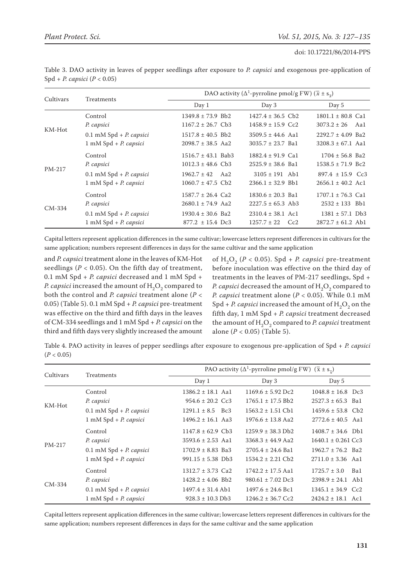| Cultivars | <b>Treatments</b>                | DAO activity ( $\Delta^1$ -pyrroline pmol/g FW) ( $\bar{x} \pm s_{\bar{x}}$ ) |                        |                       |  |  |  |  |
|-----------|----------------------------------|-------------------------------------------------------------------------------|------------------------|-----------------------|--|--|--|--|
|           |                                  | Day 1                                                                         | Day 3                  | Day 5                 |  |  |  |  |
|           | Control                          | $1349.8 \pm 73.9$ Bb2                                                         | $1427.4 \pm 36.5$ Cb2  | $1801.1 \pm 80.8$ Ca1 |  |  |  |  |
|           | P. capsici                       | $1167.2 \pm 26.7$ Cb3                                                         | $1458.9 \pm 15.9$ Cc2  | $3073.2 \pm 26$ Aa1   |  |  |  |  |
| KM-Hot    | $0.1$ mM Spd + <i>P. capsici</i> | $1517.8 \pm 40.5$ Bb2                                                         | $3509.5 \pm 44.6$ Aa1  | $2292.7 \pm 4.09$ Ba2 |  |  |  |  |
|           | $1 \text{ mM Spd} + P$ . capsici | $2098.7 \pm 38.5$ Aa2                                                         | $3035.7 \pm 23.7$ Ba1  | $3208.3 \pm 67.1$ Aa1 |  |  |  |  |
|           | Control                          | $1516.7 \pm 43.1$ Bab3                                                        | $1882.4 \pm 91.9$ Ca1  | $1704 \pm 56.8$ Ba2   |  |  |  |  |
| PM-217    | P. capsici                       | $1012.3 \pm 48.6$ Cb3                                                         | $2525.9 \pm 38.6$ Ba1  | $1538.5 \pm 71.9$ Bc2 |  |  |  |  |
|           | $0.1$ mM Spd + <i>P. capsici</i> | $1962.7 \pm 42$<br>Aa2                                                        | $3105 \pm 191$ Ab1     | $897.4 \pm 15.9$ Cc3  |  |  |  |  |
|           | $1 \text{ mM Spd} + P$ . capsici | $1060.7 \pm 47.5$ Cb <sub>2</sub>                                             | $2366.1 \pm 32.9$ Bb1  | $2656.1 \pm 40.2$ Ac1 |  |  |  |  |
|           | Control                          | $1587.7 \pm 26.4$ Ca <sub>2</sub>                                             | $1830.6 \pm 20.3$ Ba1  | $1707.1 \pm 76.3$ Ca1 |  |  |  |  |
|           | P. capsici                       | $2680.1 \pm 74.9$ Aa2                                                         | $2227.5 \pm 65.3$ Ab3  | $2532 \pm 133$ Bb1    |  |  |  |  |
| CM-334    | $0.1$ mM Spd + <i>P. capsici</i> | $1930.4 \pm 30.6$ Ba2                                                         | $2310.4 \pm 38.1$ Ac1  | $1381 \pm 57.1$ Db3   |  |  |  |  |
|           | $1 \text{ mM Spd} + P$ . capsici | $877.2 \pm 15.4 \text{ Dc3}$                                                  | $1257.7 \pm 22$<br>Cc2 | $2872.7 \pm 61.2$ Ab1 |  |  |  |  |

|                                      | Table 3. DAO activity in leaves of pepper seedlings after exposure to P. capsici and exogenous pre-application of |  |  |  |  |  |  |
|--------------------------------------|-------------------------------------------------------------------------------------------------------------------|--|--|--|--|--|--|
| Spd + <i>P. capsici</i> $(P < 0.05)$ |                                                                                                                   |  |  |  |  |  |  |

Capital letters represent application differences in the same cultivar; lowercase letters represent differences in cultivars for the same application; numbers represent differences in days for the same cultivar and the same application

and *P. capsici* treatment alone in the leaves of KM-Hot seedlings ( $P < 0.05$ ). On the fifth day of treatment, 0.1 mM Spd + *P. capsici* decreased and 1 mM Spd + *P. capsici* increased the amount of H<sub>2</sub>O<sub>2</sub> compared to both the control and *P. capsici* treatment alone (*P* < 0.05) (Table 5). 0.1 mM Spd + *P. capsici* pre-treatment was effective on the third and fifth days in the leaves of CM-334 seedlings and 1 mM Spd + *P. capsici* on the third and fifth days very slightly increased the amount

of H<sub>2</sub>O<sub>2</sub> ( $P < 0.05$ ). Spd + *P. capsici* pre-treatment before inoculation was effective on the third day of treatments in the leaves of PM-217 seedlings, Spd + *P. capsici* decreased the amount of H<sub>2</sub>O<sub>2</sub> compared to *P. capsici* treatment alone (*P* < 0.05). While 0.1 mM Spd + *P. capsici* increased the amount of  $H_2O_2$  on the fifth day, 1 mM Spd + *P. capsici* treatment decreased the amount of  $H_2O_2$  compared to *P. capsici* treatment alone  $(P < 0.05)$  (Table 5).

Table 4. PAO activity in leaves of pepper seedlings after exposure to exogenous pre-application of Spd + *P. capsici*  $(P < 0.05)$ 

| Cultivars | <b>Treatments</b>                | PAO activity ( $\Delta^1$ -pyrroline pmol/g FW) $(\bar{x} \pm s_{\bar{y}})$ |                       |                         |  |  |  |  |
|-----------|----------------------------------|-----------------------------------------------------------------------------|-----------------------|-------------------------|--|--|--|--|
|           |                                  | Day 1                                                                       | Day 3                 | Day 5                   |  |  |  |  |
| KM-Hot    | Control                          | $1386.2 \pm 18.1$ Aa1                                                       | $1169.6 \pm 5.92$ Dc2 | $1048.8 \pm 16.8$ Dc3   |  |  |  |  |
|           | P. capsici                       | $954.6 \pm 20.2$ Cc3                                                        | $1765.1 \pm 17.5$ Bb2 | $2527.3 \pm 65.3$ Ba1   |  |  |  |  |
|           | $0.1$ mM Spd + <i>P. capsici</i> | $1291.1 \pm 8.5$ Bc3                                                        | $1563.2 \pm 1.51$ Cb1 | $1459.6 \pm 53.8$ Cb2   |  |  |  |  |
|           | $1 \text{ mM Spd} + P$ . capsici | $1496.2 \pm 16.1$ Aa3                                                       | $1976.6 \pm 13.8$ Aa2 | $2772.6 \pm 40.5$ Aa1   |  |  |  |  |
|           | Control                          | $1147.8 \pm 62.9$ Cb3                                                       | $1259.9 \pm 38.3$ Db2 | $1408.7 \pm 34.6$ Db1   |  |  |  |  |
| PM-217    | P. capsici                       | $3593.6 \pm 2.53$ Aa1                                                       | $3368.3 \pm 44.9$ Aa2 | $1640.1 \pm 0.261$ Cc3  |  |  |  |  |
|           | $0.1$ mM Spd + <i>P. capsici</i> | $1702.9 \pm 8.83$ Ba3                                                       | $2705.4 \pm 24.6$ Ba1 | $1962.7 \pm 76.2$ Ba2   |  |  |  |  |
|           | $1 \text{ mM Spd} + P$ . capsici | $991.15 \pm 5.38$ Db3                                                       | $1534.2 \pm 2.21$ Cb2 | $2711.0 \pm 3.36$ Aa1   |  |  |  |  |
|           | Control                          | $1312.7 \pm 3.73$ Ca2                                                       | $1742.2 \pm 17.5$ Aa1 | $1725.7 \pm 3.0$<br>Ba1 |  |  |  |  |
|           | P. capsici                       | $1428.2 \pm 4.06$ Bb2                                                       | $980.61 \pm 7.02$ Dc3 | $2398.9 \pm 24.1$ Ab1   |  |  |  |  |
| $CM-334$  | $0.1$ mM Spd + <i>P. capsici</i> | $1497.4 \pm 31.4$ Ab1                                                       | $1497.6 \pm 24.6$ Bc1 | $1345.1 \pm 34.9$ Cc2   |  |  |  |  |
|           | $1 \text{ mM Spd} + P$ . capsici | $928.3 \pm 10.3$ Db3                                                        | $1246.2 \pm 36.7$ Cc2 | $2424.2 \pm 18.1$ Ac1   |  |  |  |  |

Capital letters represent application differences in the same cultivar; lowercase letters represent differences in cultivars for the same application; numbers represent differences in days for the same cultivar and the same application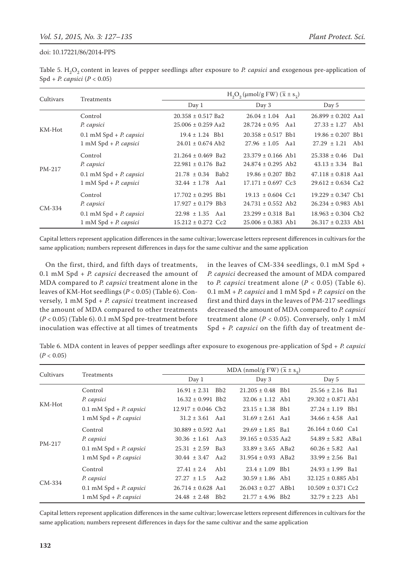| Table 5. $H_2O_2$ content in leaves of pepper seedlings after exposure to P. capsici and exogenous pre-application of |  |  |  |  |  |  |  |
|-----------------------------------------------------------------------------------------------------------------------|--|--|--|--|--|--|--|
| Spd + <i>P. capsici</i> $(P < 0.05)$                                                                                  |  |  |  |  |  |  |  |

| Cultivars | <b>Treatments</b>                | $H_2O_2$ (µmol/g FW) $(\bar{x} \pm s_{\bar{x}})$ |                          |                                    |  |  |  |  |  |
|-----------|----------------------------------|--------------------------------------------------|--------------------------|------------------------------------|--|--|--|--|--|
|           |                                  | Day 1                                            | Day 3                    | Day 5                              |  |  |  |  |  |
|           | Control                          | $20.358 \pm 0.517$ Ba2                           | $26.04 \pm 1.04$<br>Aa1  | $26.899 \pm 0.202$ Aa1             |  |  |  |  |  |
|           | P. capsici                       | $25.006 \pm 0.259$ Aa2                           | $28.724 \pm 0.95$<br>Aa1 | $27.33 \pm 1.27$ Ab1               |  |  |  |  |  |
| $KM$ -Hot | $0.1$ mM Spd + <i>P. capsici</i> | $19.4 \pm 1.24$ Bb1                              | $20.358 \pm 0.517$ Bb1   | $19.86 \pm 0.207$ Bb1              |  |  |  |  |  |
|           | $1 \text{ mM Spd} + P$ . capsici | $24.01 \pm 0.674$ Ab2                            | $27.96 \pm 1.05$ Aa1     | Ab1<br>$27.29 \pm 1.21$            |  |  |  |  |  |
|           | Control                          | $21.264 \pm 0.469$ Ba2                           | $23.379 \pm 0.166$ Ab1   | $25.338 \pm 0.46$ Da1              |  |  |  |  |  |
| PM-217    | P. capsici                       | $22.981 \pm 0.176$ Ba2                           | $24.874 \pm 0.295$ Ab2   | $43.13 \pm 3.34$<br>Ba1            |  |  |  |  |  |
|           | $0.1$ mM Spd + <i>P. capsici</i> | $21.78 \pm 0.34$ Bab2                            | $19.86 \pm 0.207$ Bb2    | $47.118 \pm 0.818$ Aa1             |  |  |  |  |  |
|           | $1 \text{ mM Spd} + P$ . capsici | $32.44 \pm 1.78$<br>Aa1                          | $17.171 \pm 0.697$ Cc3   | $29.612 \pm 0.634$ Ca <sub>2</sub> |  |  |  |  |  |
|           | Control                          | $17.702 \pm 0.295$ Bb1                           | $19.13 \pm 0.604$ Cc1    | $19.229 \pm 0.347$ Cb1             |  |  |  |  |  |
|           | P. capsici                       | $17.927 \pm 0.179$ Bb3                           | $24.731 \pm 0.552$ Ab2   | $26.234 \pm 0.983$ Ab1             |  |  |  |  |  |
| $CM-334$  | $0.1$ mM Spd + <i>P. capsici</i> | $22.98 \pm 1.35$ Aa1                             | $23.299 \pm 0.318$ Ba1   | $18.963 \pm 0.304$ Cb2             |  |  |  |  |  |
|           | $1 \text{ mM Spd} + P$ . capsici | $15.212 \pm 0.272$ Cc2                           | $25.006 \pm 0.383$ Ab1   | $26.317 \pm 0.233$ Ab1             |  |  |  |  |  |

Capital letters represent application differences in the same cultivar; lowercase letters represent differences in cultivars for the same application; numbers represent differences in days for the same cultivar and the same application

On the first, third, and fifth days of treatments, 0.1 mM Spd + *P. capsici* decreased the amount of MDA compared to *P. capsici* treatment alone in the leaves of KM-Hot seedlings (*P* < 0.05) (Table 6). Conversely, 1 mM Spd + *P. capsici* treatment increased the amount of MDA compared to other treatments (*P* < 0.05) (Table 6). 0.1 mM Spd pre-treatment before inoculation was effective at all times of treatments

in the leaves of CM-334 seedlings, 0.1 mM Spd + *P. capsici* decreased the amount of MDA compared to *P. capsici* treatment alone  $(P < 0.05)$  (Table 6). 0.1 mM + *P. capsici* and 1 mM Spd + *P. capsici* on the first and third days in the leaves of PM-217 seedlings decreased the amount of MDA compared to *P. capsici* treatment alone ( $P < 0.05$ ). Conversely, only 1 mM Spd + *P. capsici* on the fifth day of treatment de-

Table 6. MDA content in leaves of pepper seedlings after exposure to exogenous pre-application of Spd + *P. capsici*  $(P < 0.05)$ 

| Cultivars | <b>Treatments</b>                | MDA (nmol/g FW) $(\bar{x} \pm s_{\bar{y}})$ |                        |                        |  |  |  |  |
|-----------|----------------------------------|---------------------------------------------|------------------------|------------------------|--|--|--|--|
|           |                                  | Day 1                                       | Day 3                  | Day 5                  |  |  |  |  |
| $KM$ -Hot | Control                          | Bb2<br>$16.91 \pm 2.31$                     | $21.205 \pm 0.48$ Bb1  | $25.56 \pm 2.16$ Ba1   |  |  |  |  |
|           | P. capsici                       | $16.32 \pm 0.991$ Bb2                       | $32.06 \pm 1.12$ Ab1   | $29.302 \pm 0.871$ Ab1 |  |  |  |  |
|           | $0.1$ mM Spd + <i>P. capsici</i> | $12.917 \pm 0.046$ Cb2                      | $23.15 \pm 1.38$ Bb1   | $27.24 \pm 1.19$ Bb1   |  |  |  |  |
|           | $1 \text{ mM Spd} + P$ . capsici | $31.2 \pm 3.61$<br>Aa1                      | $31.69 \pm 2.61$ Aa1   | $34.66 \pm 4.58$ Aa1   |  |  |  |  |
|           | Control                          | $30.889 \pm 0.592$ Aa1                      | $29.69 \pm 1.85$ Ba1   | $26.164 \pm 0.60$ Ca1  |  |  |  |  |
|           | P. capsici                       | $30.36 \pm 1.61$<br>Aa3                     | $39.165 \pm 0.535$ Aa2 | $54.89 \pm 5.82$ ABa1  |  |  |  |  |
| PM-217    | $0.1$ mM Spd + <i>P. capsici</i> | $25.31 \pm 2.59$<br>Ba3                     | $33.89 \pm 3.65$ ABa2  | $60.26 \pm 5.82$ Aa1   |  |  |  |  |
|           | $1 \text{ mM Spd} + P$ . capsici | $30.44 \pm 3.47$<br>Aa2                     | $31.954 \pm 0.93$ ABa2 | $33.99 \pm 2.56$ Ba1   |  |  |  |  |
|           | Control                          | Ab1<br>$27.41 \pm 2.4$                      | $23.4 \pm 1.09$ Bb1    | $24.93 \pm 1.99$ Ba1   |  |  |  |  |
|           | P. capsici                       | $27.27 \pm 1.5$<br>Aa2                      | $30.59 \pm 1.86$ Ab1   | $32.125 \pm 0.885$ Ab1 |  |  |  |  |
| $CM-334$  | $0.1$ mM Spd + <i>P. capsici</i> | $26.714 \pm 0.628$ Aa1                      | $26.043 \pm 0.27$ ABb1 | $10.509 \pm 0.371$ Cc2 |  |  |  |  |
|           | $1 \text{ mM Spd} + P$ . capsici | $24.48 \pm 2.48$<br>Bb2                     | $21.77 \pm 4.96$ Bb2   | $32.79 \pm 2.23$ Ab1   |  |  |  |  |

Capital letters represent application differences in the same cultivar; lowercase letters represent differences in cultivars for the same application; numbers represent differences in days for the same cultivar and the same application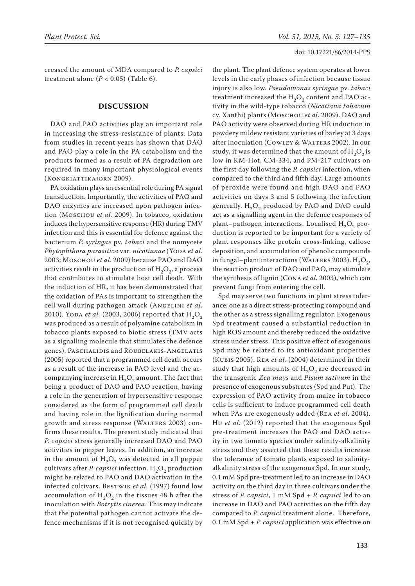creased the amount of MDA compared to *P. capsici* treatment alone  $(P < 0.05)$  (Table 6).

### **DISCUSSION**

DAO and PAO activities play an important role in increasing the stress-resistance of plants. Data from studies in recent years has shown that DAO and PAO play a role in the PA catabolism and the products formed as a result of PA degradation are required in many important physiological events (Kongkiattikajorn 2009).

PA oxidation plays an essential role during PA signal transduction. Importantly, the activities of PAO and DAO enzymes are increased upon pathogen infection (Moschou *et al.* 2009). In tobacco, oxidation induces the hypersensitive response (HR) during TMV infection and this is essential for defence against the bacterium *P. syringae* pv*. tabaci* and the oomycete *Phytophthora parasitica* var*. nicotianae* (Yoda *et al*. 2003; Moschou *et al*. 2009) because PAO and DAO activities result in the production of  $H_2O_2$ , a process that contributes to stimulate host cell death. With the induction of HR, it has been demonstrated that the oxidation of PAs is important to strengthen the cell wall during pathogen attack (Angelini *et al*. 2010). YODA *et al.* (2003, 2006) reported that H<sub>2</sub>O<sub>2</sub> was produced as a result of polyamine catabolism in tobacco plants exposed to biotic stress (TMV acts as a signalling molecule that stimulates the defence genes). PASCHALIDIS and ROUBELAKIS-ANGELATIS (2005) reported that a programmed cell death occurs as a result of the increase in PAO level and the accompanying increase in  $H_2O_2$  amount. The fact that being a product of DAO and PAO reaction, having a role in the generation of hypersensitive response considered as the form of programmed cell death and having role in the lignification during normal growth and stress response (WALTERS 2003) confirms these results. The present study indicated that *P. capsici* stress generally increased DAO and PAO activities in pepper leaves. In addition, an increase in the amount of  $H_2O_2$  was detected in all pepper cultivars after *P. capsici* infection. H<sub>2</sub>O<sub>2</sub> production might be related to PAO and DAO activation in the infected cultivars. BESTWIK et al. (1997) found low accumulation of  $H_2O_2$  in the tissues 48 h after the inoculation with *Botrytis cinerea*. This may indicate that the potential pathogen cannot activate the defence mechanisms if it is not recognised quickly by

the plant. The plant defence system operates at lower levels in the early phases of infection because tissue injury is also low. *Pseudomonas syringae* pv. *tabaci*  treatment increased the  $H_2O_2$  content and PAO activity in the wild-type tobacco (*Nicotiana tabacum*  cv. Xanthi) plants (Moschou *et al.* 2009). DAO and PAO activity were observed during HR induction in powdery mildew resistant varieties of barley at 3 days after inoculation (COWLEY & WALTERS 2002). In our study, it was determined that the amount of  $H_2O_2$  is low in KM-Hot, CM-334, and PM-217 cultivars on the first day following the *P. capsici* infection, when compared to the third and fifth day. Large amounts of peroxide were found and high DAO and PAO activities on days 3 and 5 following the infection generally. H<sub>2</sub>O<sub>2</sub> produced by PAO and DAO could act as a signalling agent in the defence responses of plant–pathogen interactions. Localised  $H_2O_2$  production is reported to be important for a variety of plant responses like protein cross-linking, callose deposition, and accumulation of phenolic compounds in fungal–plant interactions (WALTERS 2003).  $H_2O_2$ , the reaction product of DAO and PAO, may stimulate the synthesis of lignin (Cona *et al.* 2003), which can prevent fungi from entering the cell.

Spd may serve two functions in plant stress tolerance; one as a direct stress-protecting compound and the other as a stress signalling regulator. Exogenous Spd treatment caused a substantial reduction in high ROS amount and thereby reduced the oxidative stress under stress. This positive effect of exogenous Spd may be related to its antioxidant properties (Kubis 2005). Rea *et al.* (2004) determined in their study that high amounts of  $H_2O_2$  are decreased in the transgenic *Zea mays* and *Pisum sativum* in the presence of exogenous substrates (Spd and Put). The expression of PAO activity from maize in tobacco cells is sufficient to induce programmed cell death when PAs are exogenously added (Rea *et al*. 2004). Hu *et al.* (2012) reported that the exogenous Spd pre-treatment increases the PAO and DAO activity in two tomato species under salinity-alkalinity stress and they asserted that these results increase the tolerance of tomato plants exposed to salinityalkalinity stress of the exogenous Spd. In our study, 0.1 mM Spd pre-treatment led to an increase in DAO activity on the third day in three cultivars under the stress of *P. capsici*, 1 mM Spd + *P. capsici* led to an increase in DAO and PAO activities on the fifth day compared to *P. capsici* treatment alone. Therefore, 0.1 mM Spd + *P. capsici* application was effective on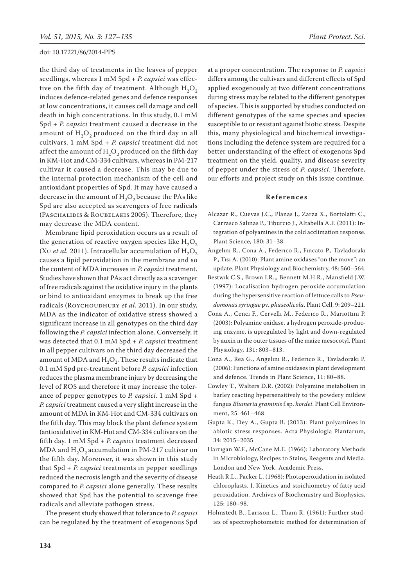the third day of treatments in the leaves of pepper seedlings, whereas 1 mM Spd + *P. capsici* was effective on the fifth day of treatment. Although  $H_2O_2$ induces defence-related genes and defence responses at low concentrations, it causes cell damage and cell death in high concentrations. In this study, 0.1 mM Spd + *P. capsici* treatment caused a decrease in the amount of  $H_2O_2$  produced on the third day in all cultivars. 1 mM Spd + *P. capsici* treatment did not affect the amount of  $H_2O_2$  produced on the fifth day in KM-Hot and CM-334 cultivars, whereas in PM-217 cultivar it caused a decrease. This may be due to the internal protection mechanism of the cell and antioxidant properties of Spd. It may have caused a decrease in the amount of  $H_2O_2$  because the PAs like Spd are also accepted as scavengers of free radicals (PASCHALIDIS & ROUBELAKIS 2005). Therefore, they may decrease the MDA content.

Membrane lipid peroxidation occurs as a result of the generation of reactive oxygen species like  $H_2O_2$ (Xu *et al.* 2011). Intracellular accumulation of  $H_2O_2$ causes a lipid peroxidation in the membrane and so the content of MDA increases in *P. capsici* treatment. Studies have shown that PAs act directly as a scavenger of free radicals against the oxidative injury in the plants or bind to antioxidant enzymes to break up the free radicals (Roychoudhury *et al.* 2011). In our study, MDA as the indicator of oxidative stress showed a significant increase in all genotypes on the third day following the *P. capsici* infection alone. Conversely, it was detected that 0.1 mM Spd + *P. capsici* treatment in all pepper cultivars on the third day decreased the amount of MDA and  $H_2O_2$ . These results indicate that 0.1 mM Spd pre-treatment before *P. capsici* infection reduces the plasma membrane injury by decreasing the level of ROS and therefore it may increase the tolerance of pepper genotypes to *P. capsici*. 1 mM Spd + *P. capsici* treatment caused a very slight increase in the amount of MDA in KM-Hot and CM-334 cultivars on the fifth day. This may block the plant defence system (antioxidative) in KM-Hot and CM-334 cultivars on the fifth day. 1 mM Spd + *P. capsici* treatment decreased MDA and  $H_2O_2$  accumulation in PM-217 cultivar on the fifth day. Moreover, it was shown in this study that Spd + *P. capsici* treatments in pepper seedlings reduced the necrosis length and the severity of disease compared to *P. capsici* alone generally. These results showed that Spd has the potential to scavenge free radicals and alleviate pathogen stress.

The present study showed that tolerance to *P. capsici* can be regulated by the treatment of exogenous Spd

at a proper concentration. The response to *P. capsici* differs among the cultivars and different effects of Spd applied exogenously at two different concentrations during stress may be related to the different genotypes of species. This is supported by studies conducted on different genotypes of the same species and species susceptible to or resistant against biotic stress. Despite this, many physiological and biochemical investigations including the defence system are required for a better understanding of the effect of exogenous Spd treatment on the yield, quality, and disease severity of pepper under the stress of *P. capsici*. Therefore, our efforts and project study on this issue continue.

#### **References**

- Alcazar R., Cuevas J.C., Planas J., Zarza X., Bortolattı C., Carrasco Salınas P., Tıburcıo J., Altabella A.F. (2011): Integration of polyamines in the cold acclimation response. Plant Science, 180: 31–38.
- Angelını R., Cona A., Federıco R., Fıncato P., Tavladorakı P., Tısı A. (2010): Plant amine oxidases "on the move": an update. Plant Physiology and Biochemistry, 48: 560–564.
- Bestwık C.S., Brown I.R.,, Bennett M.H.R., Mansfıeld J.W. (1997): Localisation hydrogen peroxide accumulation during the hypersensitive reaction of lettuce calls to *Pseudomonas syringae* pv*. phaseolicola*. Plant Cell, 9: 209–221.
- Cona A., Cencı F., Cervellı M., Federıco R., Marıottını P. (2003): Polyamine oxidase, a hydrogen peroxide-producing enzyme, is upregulated by light and down-regulated by auxin in the outer tissues of the maize mesocotyl. Plant Physiology, 131: 803–813.
- Cona A., Rea G., Angelını R., Federıco R., Tavladorakı P. (2006): Functions of amine oxidases in plant development and defence. Trends in Plant Science, 11: 80–88.
- Cowley T., Walters D.R. (2002): Polyamine metabolism in barley reacting hypersensitively to the powdery mildew fungus *Blumeria graminis* f.sp. *hordei*. Plant Cell Environment, 25: 461–468.
- Gupta K., Dey A., Gupta B. (2013): Plant polyamines in abiotic stress responses. Acta Physiologia Plantarum, 34: 2015–2035.
- Harrıgan W.F., McCane M.E. (1966): Laboratory Methods in Microbiology, Recipes to Stains, Reagents and Media. London and New York, Academic Press.
- Heath R.L., Packer L. (1968): Photoperoxidation in isolated chloroplasts. I. Kinetics and stoichiometry of fatty acid peroxidation. Archives of Biochemistry and Biophysics, 125: 180–98.
- Holmstedt B., Larsson L., Tham R. (1961): Further studies of spectrophotometric method for determination of